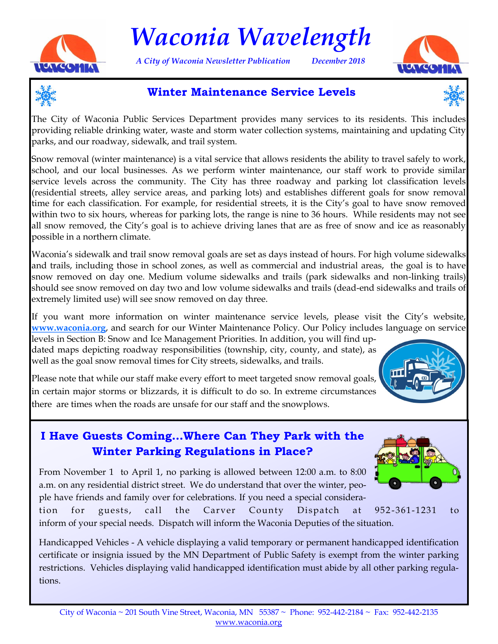

# *Waconia Wavelength*

*A City of Waconia Newsletter Publication December 2018*





# **Winter Maintenance Service Levels**



The City of Waconia Public Services Department provides many services to its residents. This includes providing reliable drinking water, waste and storm water collection systems, maintaining and updating City parks, and our roadway, sidewalk, and trail system.

Snow removal (winter maintenance) is a vital service that allows residents the ability to travel safely to work, school, and our local businesses. As we perform winter maintenance, our staff work to provide similar service levels across the community. The City has three roadway and parking lot classification levels (residential streets, alley service areas, and parking lots) and establishes different goals for snow removal time for each classification. For example, for residential streets, it is the City's goal to have snow removed within two to six hours, whereas for parking lots, the range is nine to 36 hours. While residents may not see all snow removed, the City's goal is to achieve driving lanes that are as free of snow and ice as reasonably possible in a northern climate.

Waconia's sidewalk and trail snow removal goals are set as days instead of hours. For high volume sidewalks and trails, including those in school zones, as well as commercial and industrial areas, the goal is to have snow removed on day one. Medium volume sidewalks and trails (park sidewalks and non-linking trails) should see snow removed on day two and low volume sidewalks and trails (dead-end sidewalks and trails of extremely limited use) will see snow removed on day three.

If you want more information on winter maintenance service levels, please visit the City's website, **[www.waconia.org](http://www.waconia.org/DocumentCenter/View/1612/2017-2018-Winter-Maintenance-Policy?bidId=)**, and search for our Winter Maintenance Policy. Our Policy includes language on service

levels in Section B: Snow and Ice Management Priorities. In addition, you will find updated maps depicting roadway responsibilities (township, city, county, and state), as well as the goal snow removal times for City streets, sidewalks, and trails.

Please note that while our staff make every effort to meet targeted snow removal goals, in certain major storms or blizzards, it is difficult to do so. In extreme circumstances there are times when the roads are unsafe for our staff and the snowplows.



# **I Have Guests Coming…Where Can They Park with the Winter Parking Regulations in Place?**

From November 1 to April 1, no parking is allowed between 12:00 a.m. to 8:00 a.m. on any residential district street. We do understand that over the winter, people have friends and family over for celebrations. If you need a special considera-



tion for guests, call the Carver County Dispatch at 952 -361-1231 to inform of your special needs. Dispatch will inform the Waconia Deputies of the situation.

Handicapped Vehicles - A vehicle displaying a valid temporary or permanent handicapped identification certificate or insignia issued by the MN Department of Public Safety is exempt from the winter parking restrictions. Vehicles displaying valid handicapped identification must abide by all other parking regulations.